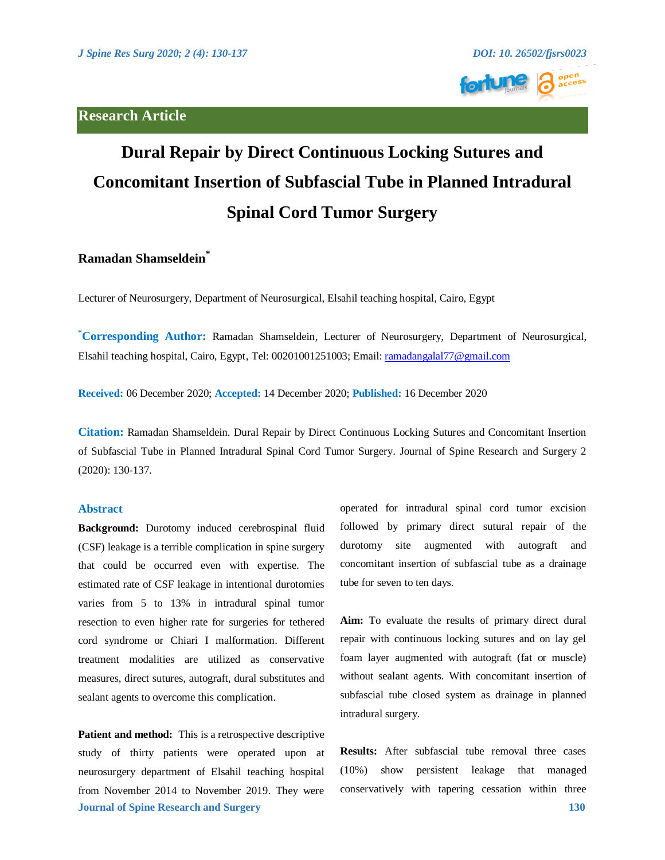# **Research Article**





# **Dural Repair by Direct Continuous Locking Sutures and Concomitant Insertion of Subfascial Tube in Planned Intradural Spinal Cord Tumor Surgery**

# **Ramadan Shamseldein\***

Lecturer of Neurosurgery, Department of Neurosurgical, Elsahil teaching hospital, Cairo, Egypt

**\* Corresponding Author:** Ramadan Shamseldein, Lecturer of Neurosurgery, Department of Neurosurgical, Elsahil teaching hospital, Cairo, Egypt, Tel: 00201001251003; Email[: ramadangalal77@gmail.com](mailto:ramadangalal77@gmail.com) 

**Received:** 06 December 2020; **Accepted:** 14 December 2020; **Published:** 16 December 2020

**Citation:** Ramadan Shamseldein. Dural Repair by Direct Continuous Locking Sutures and Concomitant Insertion of Subfascial Tube in Planned Intradural Spinal Cord Tumor Surgery. Journal of Spine Research and Surgery 2 (2020): 130-137.

#### **Abstract**

**Background:** Durotomy induced cerebrospinal fluid (CSF) leakage is a terrible complication in spine surgery that could be occurred even with expertise. The estimated rate of CSF leakage in intentional durotomies varies from 5 to 13% in intradural spinal tumor resection to even higher rate for surgeries for tethered cord syndrome or Chiari I malformation. Different treatment modalities are utilized as conservative measures, direct sutures, autograft, dural substitutes and sealant agents to overcome this complication.

**Journal of Spine Research and Surgery 130 Patient and method:** This is a retrospective descriptive study of thirty patients were operated upon at neurosurgery department of Elsahil teaching hospital from November 2014 to November 2019. They were

operated for intradural spinal cord tumor excision followed by primary direct sutural repair of the durotomy site augmented with autograft and concomitant insertion of subfascial tube as a drainage tube for seven to ten days.

**Aim:** To evaluate the results of primary direct dural repair with continuous locking sutures and on lay gel foam layer augmented with autograft (fat or muscle) without sealant agents. With concomitant insertion of subfascial tube closed system as drainage in planned intradural surgery.

**Results:** After subfascial tube removal three cases (10%) show persistent leakage that managed conservatively with tapering cessation within three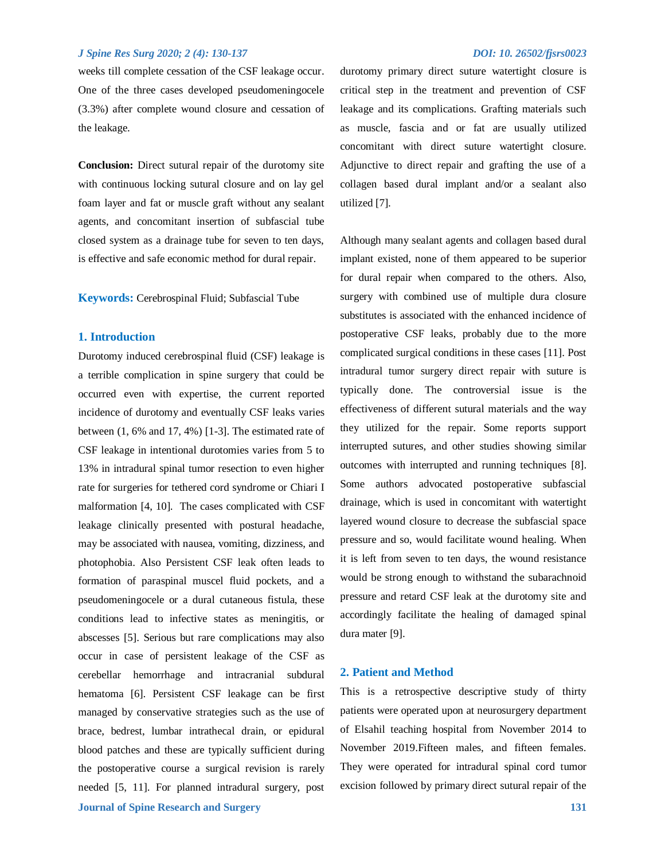weeks till complete cessation of the CSF leakage occur. One of the three cases developed pseudomeningocele (3.3%) after complete wound closure and cessation of the leakage.

**Conclusion:** Direct sutural repair of the durotomy site with continuous locking sutural closure and on lay gel foam layer and fat or muscle graft without any sealant agents, and concomitant insertion of subfascial tube closed system as a drainage tube for seven to ten days, is effective and safe economic method for dural repair.

**Keywords:** Cerebrospinal Fluid; Subfascial Tube

#### **1. Introduction**

**Journal of Spine Research and Surgery 131** Durotomy induced cerebrospinal fluid (CSF) leakage is a terrible complication in spine surgery that could be occurred even with expertise, the current reported incidence of durotomy and eventually CSF leaks [varies](https://freeplagiarismchecker.pro/#48)  [between \(1, 6% and 17, 4%\)](https://freeplagiarismchecker.pro/#48) [1-3]. The estimated rate of CSF leakage in intentional durotomies varies from 5 to 13% in intradural spinal tumor resection to even higher rate for surgeries for tethered cord syndrome or Chiari I malformation [4, 10]. The cases complicated with CSF leakage clinically presented with postural headache, may be associated with nausea, vomiting, dizziness, and photophobia. Also Persistent CSF leak often leads to formation of paraspinal muscel fluid pockets, and a pseudomeningocele or a dural cutaneous fistula, these conditions lead to infective states as meningitis, or abscesses [5]. Serious but rare complications may also occur in case of persistent leakage of the CSF as cerebellar hemorrhage and intracranial subdural hematoma [6]. Persistent CSF leakage can be first managed by conservative strategies such as the use of brace, bedrest, lumbar intrathecal drain, or epidural blood patches and these are typically sufficient during the postoperative course a surgical revision is rarely needed [5, 11]. For planned intradural surgery, post

durotomy primary direct suture watertight closure is critical step in the treatment and prevention of CSF leakage and its complications. Grafting materials such as muscle, fascia and or fat are usually utilized concomitant with direct suture watertight closure. Adjunctive to direct repair and grafting the use of a collagen based dural implant and/or a sealant also utilized [7].

Although many sealant agents and collagen based dural implant existed, none of them appeared to be superior for dural repair when compared to the others. Also, surgery with combined use of multiple dura closure substitutes is associated with the enhanced incidence of postoperative CSF leaks, probably due to the more complicated surgical conditions in these cases [11]. Post intradural tumor surgery direct repair with suture is typically done. The controversial issue is the effectiveness of different sutural materials and the way they utilized for the repair. Some reports support interrupted sutures, and other studies showing similar outcomes with interrupted and running techniques [8]. Some authors advocated postoperative subfascial drainage, which is used in concomitant with watertight layered wound closure to decrease the subfascial space pressure and so, would facilitate wound healing. When it is left from seven to ten days, the wound resistance would be strong enough to withstand the subarachnoid pressure and retard CSF leak at the durotomy site and accordingly facilitate the healing of damaged spinal dura mater [9].

#### **2. Patient and Method**

This is a retrospective descriptive study of thirty patients were operated upon at neurosurgery department of Elsahil teaching hospital from November 2014 to November 2019.Fifteen males, and fifteen females. They were operated for intradural spinal cord tumor excision followed by primary direct sutural repair of the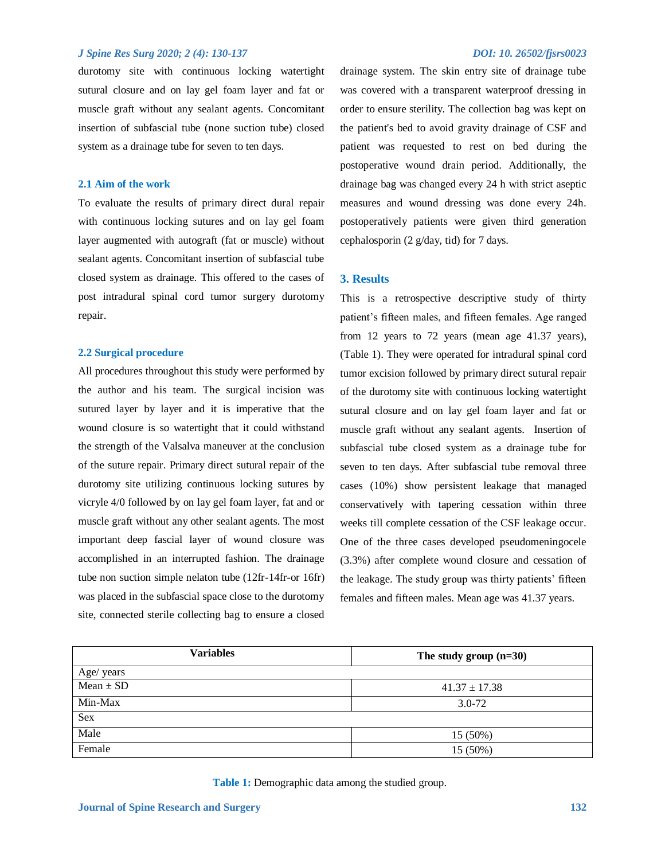durotomy site with continuous locking watertight sutural closure and on lay gel foam layer and fat or muscle graft without any sealant agents. Concomitant insertion of subfascial tube (none suction tube) closed system as a drainage tube for seven to ten days.

#### **2.1 Aim of the work**

To evaluate the results of primary direct dural repair with continuous locking sutures and on lay gel foam layer augmented with autograft (fat or muscle) without sealant agents. Concomitant insertion of subfascial tube closed system as drainage. This offered to the cases of post intradural spinal cord tumor surgery durotomy repair.

#### **2.2 Surgical procedure**

All procedures throughout this study were performed by the author and his team. The surgical incision was sutured layer by layer and it is imperative that the wound closure is so watertight that it could withstand the strength of the Valsalva maneuver at the conclusion of the suture repair. Primary direct sutural repair of the durotomy site utilizing continuous locking sutures by vicryle 4/0 followed by on lay gel foam layer, fat and or muscle graft without any other sealant agents. The most important deep fascial layer of wound closure was accomplished in an interrupted fashion. The drainage tube non suction simple nelaton tube (12fr-14fr-or 16fr) was placed in the subfascial space close to the durotomy site, connected sterile collecting bag to ensure a closed drainage system. The skin entry site of drainage tube was covered with a transparent waterproof dressing in order to ensure sterility. The collection bag was kept on the patient's bed to avoid gravity drainage of CSF and patient was requested to rest on bed during the postoperative wound drain period. Additionally, the drainage bag was changed every 24 h with strict aseptic measures and wound dressing was done every 24h. postoperatively patients were given third generation cephalosporin (2 g/day, tid) for 7 days.

#### **3. Results**

This is a retrospective descriptive study of thirty patient's fifteen males, and fifteen females. Age ranged from 12 years to 72 years (mean age 41.37 years), (Table 1). They were operated for intradural spinal cord tumor excision followed by primary direct sutural repair of the durotomy site with continuous locking watertight sutural closure and on lay gel foam layer and fat or muscle graft without any sealant agents. Insertion of subfascial tube closed system as a drainage tube for seven to ten days. After subfascial tube removal three cases (10%) show persistent leakage that managed conservatively with tapering cessation within three weeks till complete cessation of the CSF leakage occur. One of the three cases developed pseudomeningocele (3.3%) after complete wound closure and cessation of the leakage. The study group was thirty patients' fifteen females and fifteen males. Mean age was 41.37 years.

| <b>Variables</b> | The study group $(n=30)$ |  |
|------------------|--------------------------|--|
| Age/ years       |                          |  |
| $Mean \pm SD$    | $41.37 \pm 17.38$        |  |
| Min-Max          | $3.0 - 72$               |  |
| <b>Sex</b>       |                          |  |
| Male             | 15 (50%)                 |  |
| Female           | 15 (50%)                 |  |

**Table 1:** Demographic data among the studied group.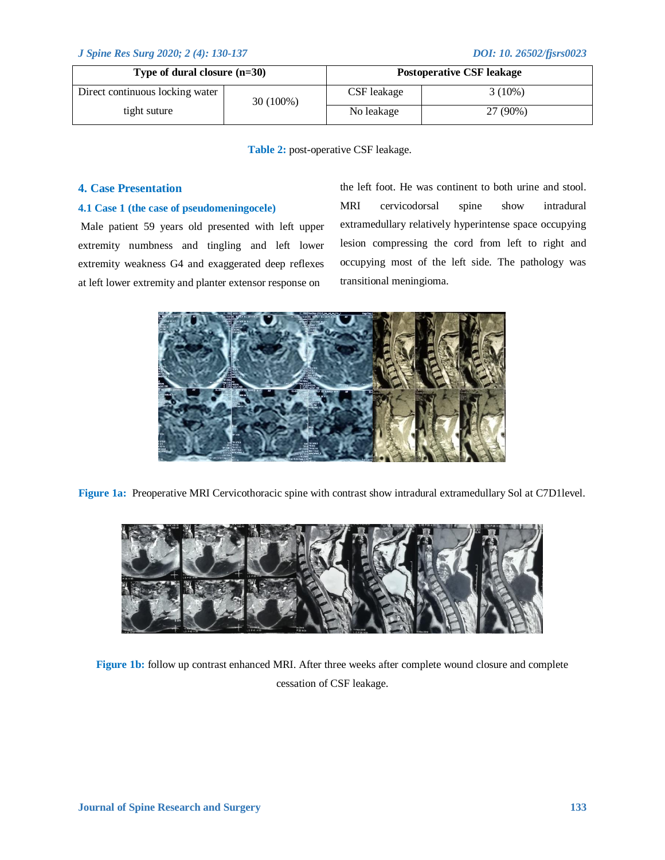| Type of dural closure $(n=30)$  |             |             | <b>Postoperative CSF leakage</b> |
|---------------------------------|-------------|-------------|----------------------------------|
| Direct continuous locking water | $30(100\%)$ | CSF leakage | $3(10\%)$                        |
| tight suture                    | No leakage  | 27 (90%)    |                                  |

**Table 2:** post-operative CSF leakage.

### **4. Case Presentation**

#### **4.1 Case 1 (the case of pseudomeningocele)**

Male patient 59 years old presented with left upper extremity numbness and tingling and left lower extremity weakness G4 and exaggerated deep reflexes at left lower extremity and planter extensor response on

the left foot. He was continent to both urine and stool. MRI cervicodorsal spine show intradural extramedullary relatively hyperintense space occupying lesion compressing the cord from left to right and occupying most of the left side. The pathology was transitional meningioma.



**Figure 1a:** Preoperative MRI Cervicothoracic spine with contrast show intradural extramedullary Sol at C7D1level.



**Figure 1b:** follow up contrast enhanced MRI. After three weeks after complete wound closure and complete cessation of CSF leakage.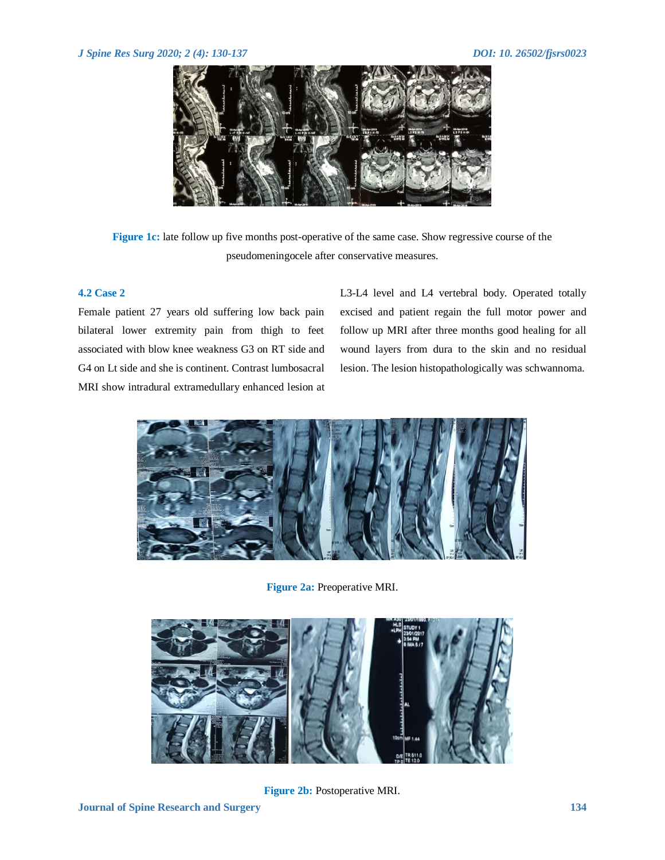

**Figure 1c:** late follow up five months post-operative of the same case. Show regressive course of the pseudomeningocele after conservative measures.

## **4.2 Case 2**

Female patient 27 years old suffering low back pain bilateral lower extremity pain from thigh to feet associated with blow knee weakness G3 on RT side and G4 on Lt side and she is continent. Contrast lumbosacral MRI show intradural extramedullary enhanced lesion at

L3-L4 level and L4 vertebral body. Operated totally excised and patient regain the full motor power and follow up MRI after three months good healing for all wound layers from dura to the skin and no residual lesion. The lesion histopathologically was schwannoma.



**Figure 2a:** Preoperative MRI.



**Figure 2b:** Postoperative MRI.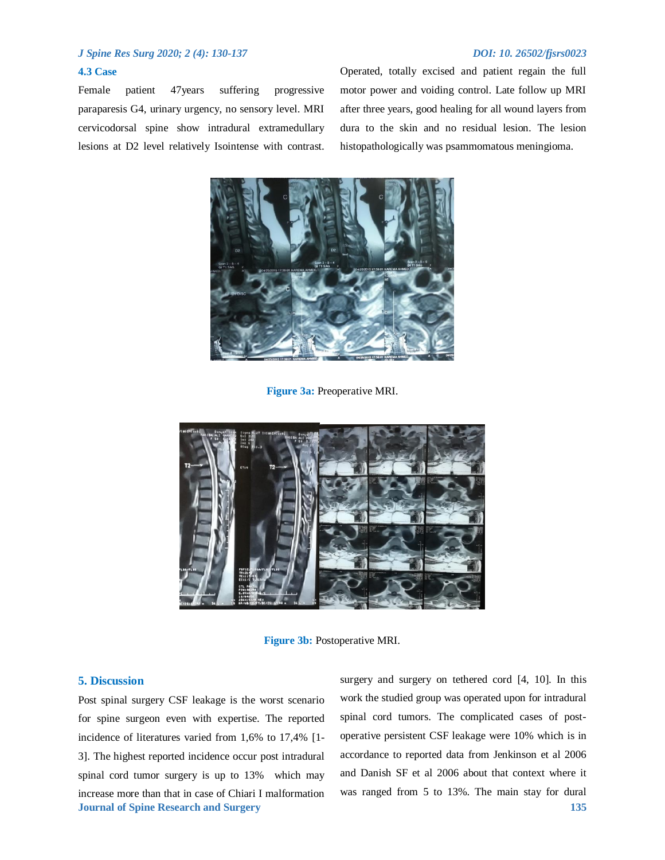#### **4.3 Case**

Female patient 47years suffering progressive paraparesis G4, urinary urgency, no sensory level. MRI cervicodorsal spine show intradural extramedullary lesions at D2 level relatively Isointense with contrast. Operated, totally excised and patient regain the full motor power and voiding control. Late follow up MRI after three years, good healing for all wound layers from dura to the skin and no residual lesion. The lesion histopathologically was psammomatous meningioma.



**Figure 3a:** Preoperative MRI.



**Figure 3b:** Postoperative MRI.

# **5. Discussion**

**Journal of Spine Research and Surgery 135** Post spinal surgery CSF leakage is the worst scenario for spine surgeon even with expertise. The reported incidence of literatures varied from 1,6% to 17,4% [1- 3]. The highest reported incidence occur post intradural spinal cord tumor surgery is up to 13% which may increase more than that in case of Chiari I malformation

surgery and surgery on tethered cord [4, 10]. In this work the studied group was operated upon for intradural spinal cord tumors. The complicated cases of postoperative persistent CSF leakage were 10% which is in accordance to reported data from Jenkinson et al 2006 and Danish SF et al 2006 about that context where it was ranged from 5 to 13%. The main stay for dural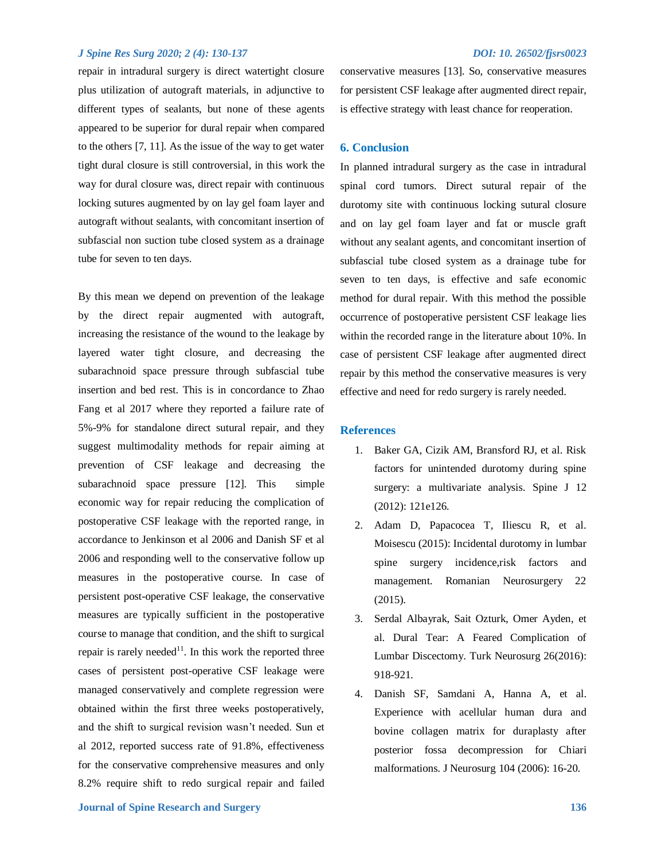repair in intradural surgery is direct watertight closure plus utilization of autograft materials, in adjunctive to different types of sealants, but none of these agents appeared to be superior for dural repair when compared to the others [7, 11]. As the issue of the way to get water tight dural closure is still controversial, in this work the way for dural closure was, direct repair with continuous locking sutures augmented by on lay gel foam layer and autograft without sealants, with concomitant insertion of subfascial non suction tube closed system as a drainage tube for seven to ten days.

By this mean we depend on prevention of the leakage by the direct repair augmented with autograft, increasing the resistance of the wound to the leakage by layered water tight closure, and decreasing the subarachnoid space pressure through subfascial tube insertion and bed rest. This is in concordance to Zhao Fang et al 2017 where they reported a failure rate of 5%-9% for standalone direct sutural repair, and they suggest multimodality methods for repair aiming at prevention of CSF leakage and decreasing the subarachnoid space pressure [12]. This simple economic way for repair reducing the complication of postoperative CSF leakage with the reported range, in accordance to Jenkinson et al 2006 and Danish SF et al 2006 and responding well to the conservative follow up measures in the postoperative course. In case of persistent post-operative CSF leakage, the conservative measures are typically sufficient in the postoperative course to manage that condition, and the shift to surgical repair is rarely needed<sup>11</sup>. In this work the reported three cases of persistent post-operative CSF leakage were managed conservatively and complete regression were obtained within the first three weeks postoperatively, and the shift to surgical revision wasn't needed. Sun et al 2012, reported success rate of 91.8%, effectiveness for the conservative comprehensive measures and only 8.2% require shift to redo surgical repair and failed

conservative measures [13]. So, conservative measures for persistent CSF leakage after augmented direct repair, is effective strategy with least chance for reoperation.

#### **6. Conclusion**

In planned intradural surgery as the case in intradural spinal cord tumors. Direct sutural repair of the durotomy site with continuous locking sutural closure and on lay gel foam layer and fat or muscle graft without any sealant agents, and concomitant insertion of subfascial tube closed system as a drainage tube for seven to ten days, is effective and safe economic method for dural repair. With this method the possible occurrence of postoperative persistent CSF leakage lies within the recorded range in the literature about 10%. In case of persistent CSF leakage after augmented direct repair by this method the conservative measures is very effective and need for redo surgery is rarely needed.

#### **References**

- 1. Baker GA, Cizik AM, Bransford RJ, et al. Risk factors for unintended durotomy during spine surgery: a multivariate analysis. Spine J 12 (2012): 121e126.
- 2. Adam D, Papacocea T, Iliescu R, et al. Moisescu (2015): Incidental durotomy in lumbar spine surgery incidence,risk factors and management. Romanian Neurosurgery 22 (2015).
- 3. Serdal Albayrak, Sait Ozturk, Omer Ayden, et al. Dural Tear: A Feared Complication of Lumbar Discectomy. Turk Neurosurg 26(2016): 918-921.
- 4. Danish SF, Samdani A, Hanna A, et al. Experience with acellular human dura and bovine collagen matrix for duraplasty after posterior fossa decompression for Chiari malformations. J Neurosurg 104 (2006): 16-20.